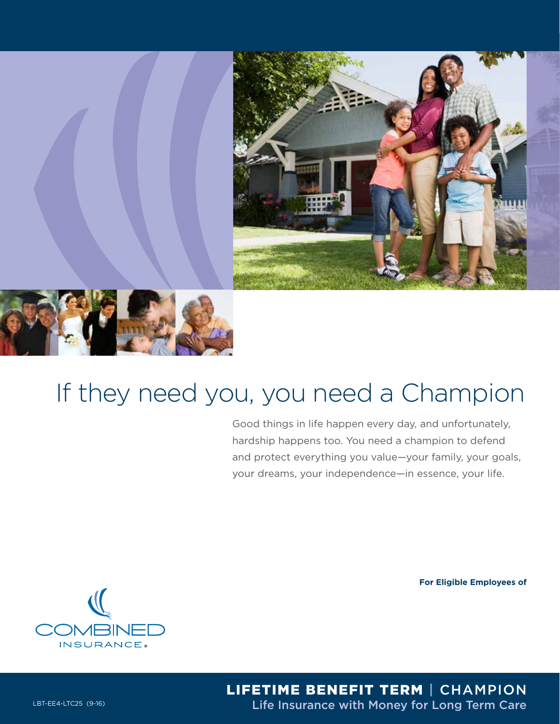



# If they need you, you need a Champion

Good things in life happen every day, and unfortunately, hardship happens too. You need a champion to defend and protect everything you value—your family, your goals, your dreams, your independence—in essence, your life.

**For Eligible Employees of**



LIFETIME BENEFIT TERM | CHAMPION LBT-EE4-LTC25 (9-16) **LET-EE4-LTC25 (9-16) Life Insurance with Money for Long Term Care**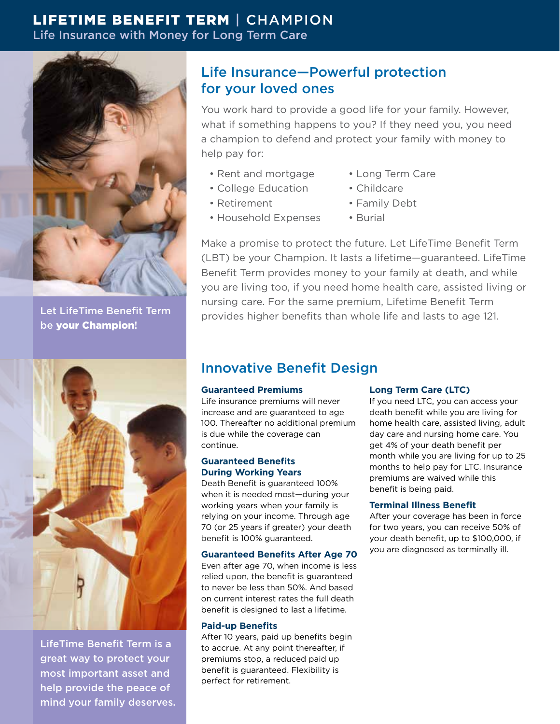# LIFETIME BENEFIT TERM | CHAMPION Life Insurance with Money for Long Term Care



Let LifeTime Benefit Term be your Champion!



LifeTime Benefit Term is a great way to protect your most important asset and help provide the peace of mind your family deserves.

# Life Insurance—Powerful protection for your loved ones

You work hard to provide a good life for your family. However, what if something happens to you? If they need you, you need a champion to defend and protect your family with money to help pay for:

- Rent and mortgage
- College Education
- Retirement
- Household Expenses
- Long Term Care
- Childcare
- Family Debt
- Burial

Make a promise to protect the future. Let LifeTime Benefit Term (LBT) be your Champion. It lasts a lifetime—guaranteed. LifeTime Benefit Term provides money to your family at death, and while you are living too, if you need home health care, assisted living or nursing care. For the same premium, Lifetime Benefit Term provides higher benefits than whole life and lasts to age 121.

# Innovative Benefit Design

# **Guaranteed Premiums**

Life insurance premiums will never increase and are guaranteed to age 100. Thereafter no additional premium is due while the coverage can continue.

### **Guaranteed Benefits During Working Years**

Death Benefit is guaranteed 100% when it is needed most—during your working years when your family is relying on your income. Through age 70 (or 25 years if greater) your death benefit is 100% guaranteed.

### **Guaranteed Benefits After Age 70**

Even after age 70, when income is less relied upon, the benefit is guaranteed to never be less than 50%. And based on current interest rates the full death benefit is designed to last a lifetime.

### **Paid-up Benefits**

After 10 years, paid up benefits begin to accrue. At any point thereafter, if premiums stop, a reduced paid up benefit is guaranteed. Flexibility is perfect for retirement.

# **Long Term Care (LTC)**

If you need LTC, you can access your death benefit while you are living for home health care, assisted living, adult day care and nursing home care. You get 4% of your death benefit per month while you are living for up to 25 months to help pay for LTC. Insurance premiums are waived while this benefit is being paid.

# **Terminal Illness Benefit**

After your coverage has been in force for two years, you can receive 50% of your death benefit, up to \$100,000, if you are diagnosed as terminally ill.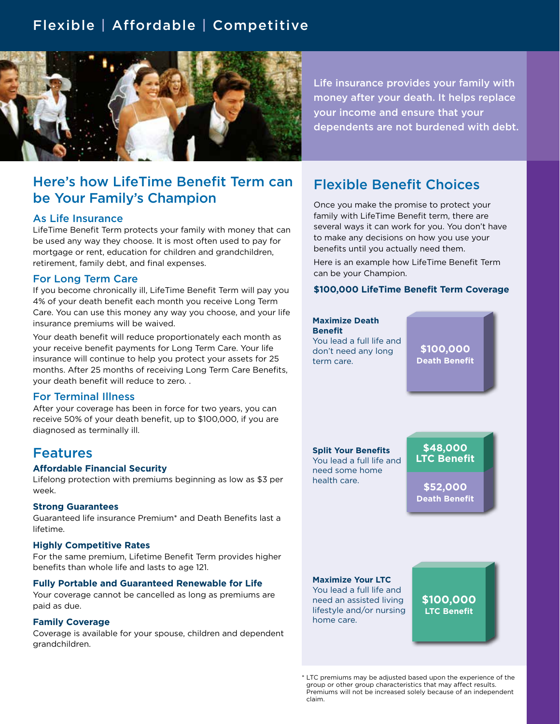# Flexible | Affordable | Competitive



Here's how LifeTime Benefit Term can be Your Family's Champion

#### As Life Insurance

LifeTime Benefit Term protects your family with money that can be used any way they choose. It is most often used to pay for mortgage or rent, education for children and grandchildren, retirement, family debt, and final expenses.

### For Long Term Care

If you become chronically ill, LifeTime Benefit Term will pay you 4% of your death benefit each month you receive Long Term Care. You can use this money any way you choose, and your life insurance premiums will be waived.

Your death benefit will reduce proportionately each month as your receive benefit payments for Long Term Care. Your life insurance will continue to help you protect your assets for 25 months. After 25 months of receiving Long Term Care Benefits, your death benefit will reduce to zero. .

### For Terminal Illness

After your coverage has been in force for two years, you can receive 50% of your death benefit, up to \$100,000, if you are diagnosed as terminally ill.

# Features

#### **Affordable Financial Security**

Lifelong protection with premiums beginning as low as \$3 per week.

#### **Strong Guarantees**

Guaranteed life insurance Premium\* and Death Benefits last a lifetime.

#### **Highly Competitive Rates**

For the same premium, Lifetime Benefit Term provides higher benefits than whole life and lasts to age 121.

#### **Fully Portable and Guaranteed Renewable for Life**

Your coverage cannot be cancelled as long as premiums are paid as due.

#### **Family Coverage**

Coverage is available for your spouse, children and dependent grandchildren.

Life insurance provides your family with money after your death. It helps replace your income and ensure that your dependents are not burdened with debt.

# Flexible Benefit Choices

Once you make the promise to protect your family with LifeTime Benefit term, there are several ways it can work for you. You don't have to make any decisions on how you use your benefits until you actually need them.

Here is an example how LifeTime Benefit Term can be your Champion.

#### **\$100,000 LifeTime Benefit Term Coverage**

# **\$100,000 Death Benefit \$48,000 LTC Benefit \$52,000 Death Benefit Maximize Death Benefit** You lead a full life and don't need any long term care. **Split Your Benefits** You lead a full life and need some home health care. **Maximize Your LTC** You lead a full life and need an assisted living lifestyle and/or nursing home care. **\$100,000 LTC Benefit**

<sup>\*</sup> LTC premiums may be adjusted based upon the experience of the group or other group characteristics that may affect results. Premiums will not be increased solely because of an independent claim.